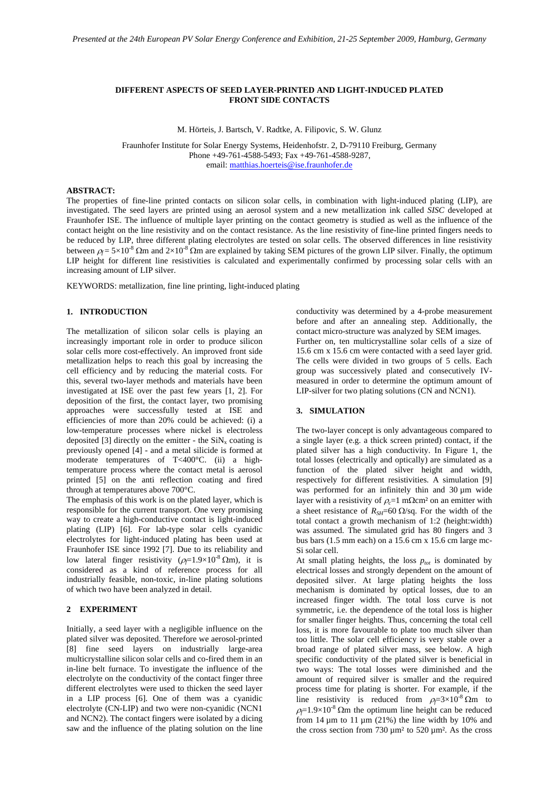# **DIFFERENT ASPECTS OF SEED LAYER-PRINTED AND LIGHT-INDUCED PLATED FRONT SIDE CONTACTS**

M. Hörteis, J. Bartsch, V. Radtke, A. Filipovic, S. W. Glunz

Fraunhofer Institute for Solar Energy Systems, Heidenhofstr. 2, D-79110 Freiburg, Germany Phone +49-761-4588-5493; Fax +49-761-4588-9287, email: matthias.hoerteis@ise.fraunhofer.de

## **ABSTRACT:**

The properties of fine-line printed contacts on silicon solar cells, in combination with light-induced plating (LIP), are investigated. The seed layers are printed using an aerosol system and a new metallization ink called *SISC* developed at Fraunhofer ISE. The influence of multiple layer printing on the contact geometry is studied as well as the influence of the contact height on the line resistivity and on the contact resistance. As the line resistivity of fine-line printed fingers needs to be reduced by LIP, three different plating electrolytes are tested on solar cells. The observed differences in line resistivity between  $ρ_f = 5 \times 10^{-8}$  Ωm and  $2 \times 10^{-8}$  Ωm are explained by taking SEM pictures of the grown LIP silver. Finally, the optimum LIP height for different line resistivities is calculated and experimentally confirmed by processing solar cells with an increasing amount of LIP silver.

KEYWORDS: metallization, fine line printing, light-induced plating

## **1. INTRODUCTION**

The metallization of silicon solar cells is playing an increasingly important role in order to produce silicon solar cells more cost-effectively. An improved front side metallization helps to reach this goal by increasing the cell efficiency and by reducing the material costs. For this, several two-layer methods and materials have been investigated at ISE over the past few years [1, 2]. For deposition of the first, the contact layer, two promising approaches were successfully tested at ISE and efficiencies of more than 20% could be achieved: (i) a low-temperature processes where nickel is electroless deposited [3] directly on the emitter - the  $\text{SiN}_x$  coating is previously opened [4] - and a metal silicide is formed at moderate temperatures of T<400°C. (ii) a hightemperature process where the contact metal is aerosol printed [5] on the anti reflection coating and fired through at temperatures above 700°C.

The emphasis of this work is on the plated layer, which is responsible for the current transport. One very promising way to create a high-conductive contact is light-induced plating (LIP) [6]. For lab-type solar cells cyanidic electrolytes for light-induced plating has been used at Fraunhofer ISE since 1992 [7]. Due to its reliability and low lateral finger resistivity ( $\rho \neq 1.9 \times 10^{-8}$  Qm), it is considered as a kind of reference process for all industrially feasible, non-toxic, in-line plating solutions of which two have been analyzed in detail.

## **2 EXPERIMENT**

Initially, a seed layer with a negligible influence on the plated silver was deposited. Therefore we aerosol-printed [8] fine seed layers on industrially large-area multicrystalline silicon solar cells and co-fired them in an in-line belt furnace. To investigate the influence of the electrolyte on the conductivity of the contact finger three different electrolytes were used to thicken the seed layer in a LIP process [6]. One of them was a cyanidic electrolyte (CN-LIP) and two were non-cyanidic (NCN1 and NCN2). The contact fingers were isolated by a dicing saw and the influence of the plating solution on the line

conductivity was determined by a 4-probe measurement before and after an annealing step. Additionally, the contact micro-structure was analyzed by SEM images. Further on, ten multicrystalline solar cells of a size of 15.6 cm x 15.6 cm were contacted with a seed layer grid. The cells were divided in two groups of 5 cells. Each group was successively plated and consecutively IVmeasured in order to determine the optimum amount of  $LIP$ -silver for two plating solutions ( $\overline{CN}$  and  $\overline{NCN1}$ ).

#### **3. SIMULATION**

The two-layer concept is only advantageous compared to a single layer (e.g. a thick screen printed) contact, if the plated silver has a high conductivity. In Figure 1, the total losses (electrically and optically) are simulated as a function of the plated silver height and width, respectively for different resistivities. A simulation [9] was performed for an infinitely thin and 30 µm wide layer with a resistivity of  $ρ = 1$  mΩcm<sup>2</sup> on an emitter with a sheet resistance of  $R_{SH}=60 \Omega/\text{sq}$ . For the width of the total contact a growth mechanism of 1:2 (height:width) was assumed. The simulated grid has 80 fingers and 3 bus bars  $(1.5 \text{ mm each})$  on a  $15.6 \text{ cm} \times 15.6 \text{ cm}$  large mc-Si solar cell.

At small plating heights, the loss  $p_{tot}$  is dominated by electrical losses and strongly dependent on the amount of deposited silver. At large plating heights the loss mechanism is dominated by optical losses, due to an increased finger width. The total loss curve is not symmetric, i.e. the dependence of the total loss is higher for smaller finger heights. Thus, concerning the total cell loss, it is more favourable to plate too much silver than too little. The solar cell efficiency is very stable over a broad range of plated silver mass, see below. A high specific conductivity of the plated silver is beneficial in two ways: The total losses were diminished and the amount of required silver is smaller and the required process time for plating is shorter. For example, if the line resistivity is reduced from  $\rho \equiv 3 \times 10^{-8} \Omega m$  to  $\rho_f$ =1.9×10<sup>-8</sup> Ωm the optimum line height can be reduced from  $14 \mu m$  to  $11 \mu m$  (21%) the line width by 10% and the cross section from 730  $\mu$ m<sup>2</sup> to 520  $\mu$ m<sup>2</sup>. As the cross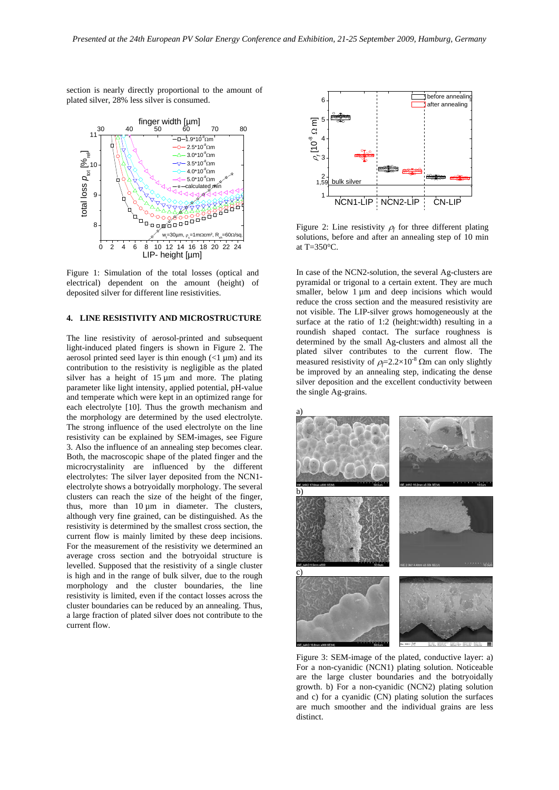section is nearly directly proportional to the amount of plated silver, 28% less silver is consumed.



Figure 1: Simulation of the total losses (optical and electrical) dependent on the amount (height) of deposited silver for different line resistivities.

### **4. LINE RESISTIVITY AND MICROSTRUCTURE**

The line resistivity of aerosol-printed and subsequent light-induced plated fingers is shown in Figure 2. The aerosol printed seed layer is thin enough  $\left($  <1  $\mu$ m) and its contribution to the resistivity is negligible as the plated silver has a height of  $15 \mu m$  and more. The plating parameter like light intensity, applied potential, pH-value and temperate which were kept in an optimized range for each electrolyte [10]. Thus the growth mechanism and the morphology are determined by the used electrolyte. The strong influence of the used electrolyte on the line resistivity can be explained by SEM-images, see Figure 3. Also the influence of an annealing step becomes clear. Both, the macroscopic shape of the plated finger and the microcrystalinity are influenced by the different electrolytes: The silver layer deposited from the NCN1 electrolyte shows a botryoidally morphology. The several clusters can reach the size of the height of the finger, thus, more than 10 µm in diameter. The clusters, although very fine grained, can be distinguished. As the resistivity is determined by the smallest cross section, the current flow is mainly limited by these deep incisions. For the measurement of the resistivity we determined an average cross section and the botryoidal structure is levelled. Supposed that the resistivity of a single cluster is high and in the range of bulk silver, due to the rough morphology and the cluster boundaries, the line resistivity is limited, even if the contact losses across the cluster boundaries can be reduced by an annealing. Thus, a large fraction of plated silver does not contribute to the current flow.



Figure 2: Line resistivity  $\rho_f$  for three different plating solutions, before and after an annealing step of 10 min at T=350°C.

In case of the NCN2-solution, the several Ag-clusters are pyramidal or trigonal to a certain extent. They are much smaller, below  $1 \mu m$  and deep incisions which would reduce the cross section and the measured resistivity are not visible. The LIP-silver grows homogeneously at the surface at the ratio of 1:2 (height:width) resulting in a roundish shaped contact. The surface roughness is determined by the small Ag-clusters and almost all the plated silver contributes to the current flow. The measured resistivity of  $\rho \in 2.2 \times 10^{-8}$  Ωm can only slightly be improved by an annealing step, indicating the dense silver deposition and the excellent conductivity between the single Ag-grains.



Figure 3: SEM-image of the plated, conductive layer: a) For a non-cyanidic (NCN1) plating solution. Noticeable are the large cluster boundaries and the botryoidally growth. b) For a non-cyanidic (NCN2) plating solution and c) for a cyanidic (CN) plating solution the surfaces are much smoother and the individual grains are less distinct.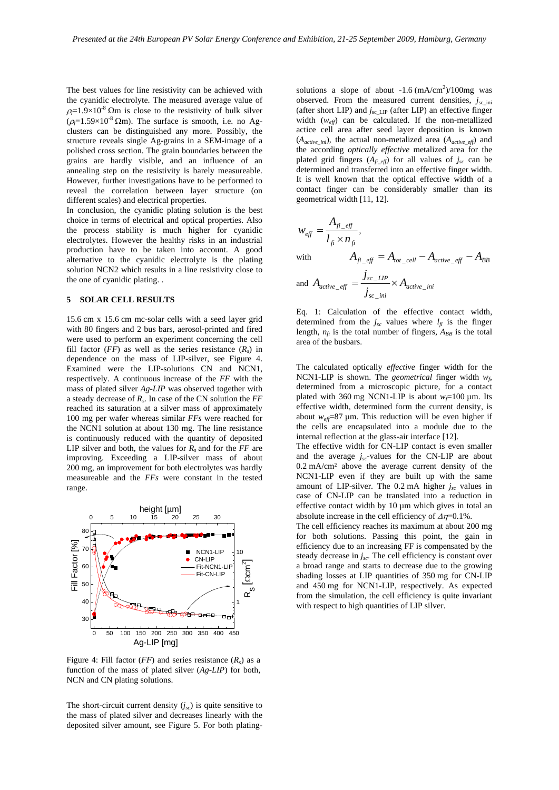The best values for line resistivity can be achieved with the cyanidic electrolyte. The measured average value of  $\rho = 1.9 \times 10^{-8}$  Ωm is close to the resistivity of bulk silver  $(\rho = 1.59 \times 10^{-8} \Omega \text{m})$ . The surface is smooth, i.e. no Agclusters can be distinguished any more. Possibly, the structure reveals single Ag-grains in a SEM-image of a polished cross section. The grain boundaries between the grains are hardly visible, and an influence of an annealing step on the resistivity is barely measureable. However, further investigations have to be performed to reveal the correlation between layer structure (on different scales) and electrical properties.

In conclusion, the cyanidic plating solution is the best choice in terms of electrical and optical properties. Also the process stability is much higher for cyanidic electrolytes. However the healthy risks in an industrial production have to be taken into account. A good alternative to the cyanidic electrolyte is the plating solution NCN2 which results in a line resistivity close to the one of cyanidic plating. .

#### **5 SOLAR CELL RESULTS**

15.6 cm x 15.6 cm mc-solar cells with a seed layer grid with 80 fingers and 2 bus bars, aerosol-printed and fired were used to perform an experiment concerning the cell fill factor ( $FF$ ) as well as the series resistance ( $R_s$ ) in dependence on the mass of LIP-silver, see Figure 4. Examined were the LIP-solutions CN and NCN1, respectively. A continuous increase of the *FF* with the mass of plated silver *Ag-LIP* was observed together with a steady decrease of *Rs*. In case of the CN solution the *FF* reached its saturation at a silver mass of approximately 100 mg per wafer whereas similar *FFs* were reached for the NCN1 solution at about 130 mg. The line resistance is continuously reduced with the quantity of deposited LIP silver and both, the values for *Rs* and for the *FF* are improving. Exceeding a LIP-silver mass of about 200 mg, an improvement for both electrolytes was hardly measureable and the *FFs* were constant in the tested range.



Figure 4: Fill factor ( $FF$ ) and series resistance ( $R_s$ ) as a function of the mass of plated silver (*Ag-LIP*) for both, NCN and CN plating solutions.

The short-circuit current density  $(i_{sc})$  is quite sensitive to the mass of plated silver and decreases linearly with the deposited silver amount, see Figure 5. For both platingsolutions a slope of about  $-1.6$  (mA/cm<sup>2</sup>)/100mg was observed. From the measured current densities, *j<sub>sc\_ini</sub>* (after short LIP) and  $j_{\rm scLIP}$  (after LIP) an effective finger width  $(w_{\text{eff}})$  can be calculated. If the non-metallized actice cell area after seed layer deposition is known  $(A<sub>active ini</sub>)$ , the actual non-metalized area  $(A<sub>active-eff</sub>)$  and the according *optically effective* metalized area for the plated grid fingers  $(A_{fi\;eff})$  for all values of  $j_{sc}$  can be determined and transferred into an effective finger width. It is well known that the optical effective width of a contact finger can be considerably smaller than its geometrical width [11, 12].

$$
w_{\text{eff}} = \frac{A_{fi\text{-eff}}}{l_{fi} \times n_{fi}},
$$
  
with 
$$
A_{fi\text{-eff}} = A_{tot\text{-cell}} - A_{active\text{-eff}} - A_{BB}
$$
  
and 
$$
A_{active\text{-eff}} = \frac{j_{sc\text{-LIP}}}{j_{sc\text{-ini}}} \times A_{active\text{-ini}}
$$

Eq. 1: Calculation of the effective contact width, determined from the  $j_{sc}$  values where  $l_{fi}$  is the finger length,  $n_{fi}$  is the total number of fingers,  $A_{BB}$  is the total area of the busbars.

The calculated optically *effective* finger width for the NCN1-LIP is shown. The *geometrical* finger width *wf*, determined from a microscopic picture, for a contact plated with 360 mg NCN1-LIP is about  $w_f$ =100 µm. Its effective width, determined form the current density, is about  $w_{\text{eff}}$ =87 µm. This reduction will be even higher if the cells are encapsulated into a module due to the internal reflection at the glass-air interface [12].

The effective width for CN-LIP contact is even smaller and the average *jsc*-values for the CN-LIP are about 0.2 mA/cm² above the average current density of the NCN1-LIP even if they are built up with the same amount of LIP-silver. The  $0.2 \text{ mA}$  higher  $j_{sc}$  values in case of CN-LIP can be translated into a reduction in effective contact width by 10 µm which gives in total an absolute increase in the cell efficiency of  $\Delta \eta = 0.1\%$ .

The cell efficiency reaches its maximum at about 200 mg for both solutions. Passing this point, the gain in efficiency due to an increasing FF is compensated by the steady decrease in  $j_{sc}$ . The cell efficiency is constant over a broad range and starts to decrease due to the growing shading losses at LIP quantities of 350 mg for CN-LIP and 450 mg for NCN1-LIP, respectively. As expected from the simulation, the cell efficiency is quite invariant with respect to high quantities of LIP silver.